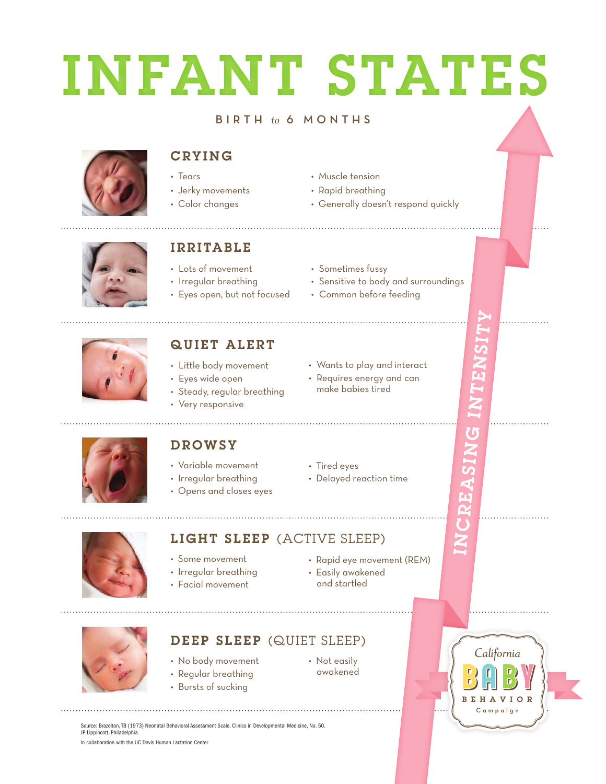# INFANT STATES

#### B I R T H to 6 M O N T H S



### **CRYING**

- Tears
- Jerky movements
- Color changes
- Muscle tension
- Rapid breathing
- Generally doesn't respond quickly



### I R R I TA B L E

- Lots of movement
- Irregular breathing
- Eyes open, but not focused
- Sometimes fussy
- Sensitive to body and surroundings
- Common before feeding



## QUIET ALERT

- Little body movement
- Eyes wide open
- Steady, regular breathing
- Very responsive
- Wants to play and interact
- Requires energy and can make babies tired

• Delayed reaction time



# **DROWSY**

- Variable movement
- Irregular breathing
- Opens and closes eyes
	-



# LIGHT SLEEP (ACTIVE SLEEP)

- Some movement
- Irregular breathing
- Facial movement
- Rapid eye movement (REM)
- and startled



# DEEP SLEEP (QUIET SLEEP)

- No body movement
- Regular breathing
- Bursts of sucking
- Easily awakened
- 

• Not easily awakened

• Tired eyes



INCREASING INTENSITY

 $\overline{\mathbf{c}}$ 

 $\overline{\mathbf{5}}$ 

Source: Brazelton, TB (1973) Neonatal Behavioral Assessment Scale. Clinics in Developmental Medicine, No. 50. JP Lippincott, Philadelphia.

In collaboration with the UC Davis Human Lactation Center